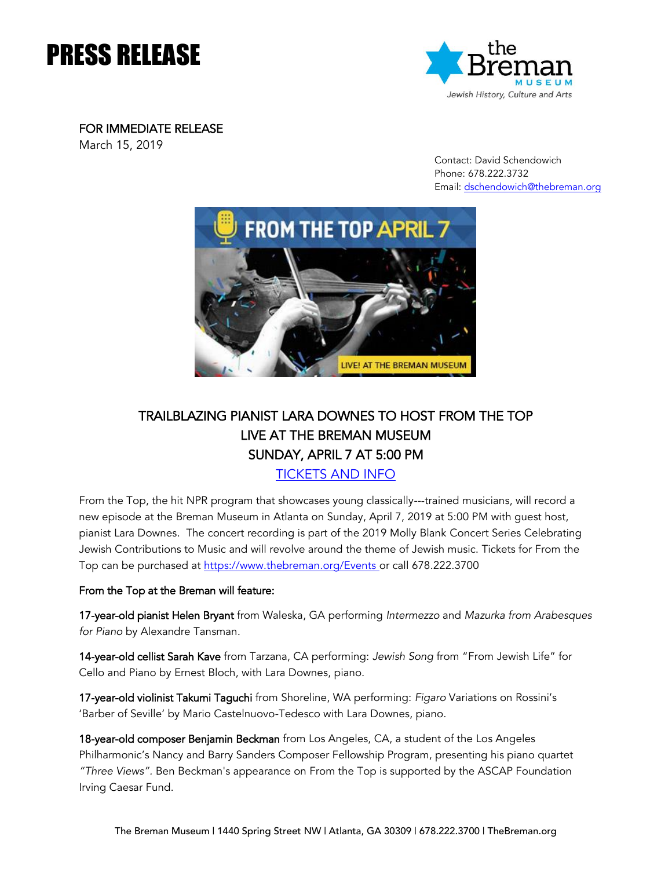# PRESS RELEASE



FOR IMMEDIATE RELEASE

March 15, 2019

 Contact: David Schendowich Phone: 678.222.3732 Email: [dschendowich@thebreman.org](mailto:dschendowich@thebreman.org)



# TRAILBLAZING PIANIST LARA DOWNES TO HOST FROM THE TOP LIVE AT THE BREMAN MUSEUM SUNDAY, APRIL 7 AT 5:00 PM

[TICKETS AND INFO](https://www.thebreman.org/Events/04-07-2019-FROM-THE-TOP)

From the Top, the hit NPR program that showcases young classically---trained musicians, will record a new episode at the Breman Museum in Atlanta on Sunday, April 7, 2019 at 5:00 PM with guest host, pianist Lara Downes. The concert recording is part of the 2019 Molly Blank Concert Series Celebrating Jewish Contributions to Music and will revolve around the theme of Jewish music. Tickets for From the Top can be purchased at<https://www.thebreman.org/Events> or call 678.222.3700

## From the Top at the Breman will feature:

17-year-old pianist Helen Bryant from Waleska, GA performing *Intermezzo* and *Mazurka from Arabesques for Piano* by Alexandre Tansman.

14-year-old cellist Sarah Kave from Tarzana, CA performing: *Jewish Song* from "From Jewish Life" for Cello and Piano by Ernest Bloch, with Lara Downes, piano.

17-year-old violinist Takumi Taguchi from Shoreline, WA performing: *Figaro* Variations on Rossini's 'Barber of Seville' by Mario Castelnuovo-Tedesco with Lara Downes, piano.

18-year-old composer Benjamin Beckman from Los Angeles, CA, a student of the Los Angeles Philharmonic's Nancy and Barry Sanders Composer Fellowship Program, presenting his piano quartet *"Three Views".* Ben Beckman's appearance on From the Top is supported by the ASCAP Foundation Irving Caesar Fund.